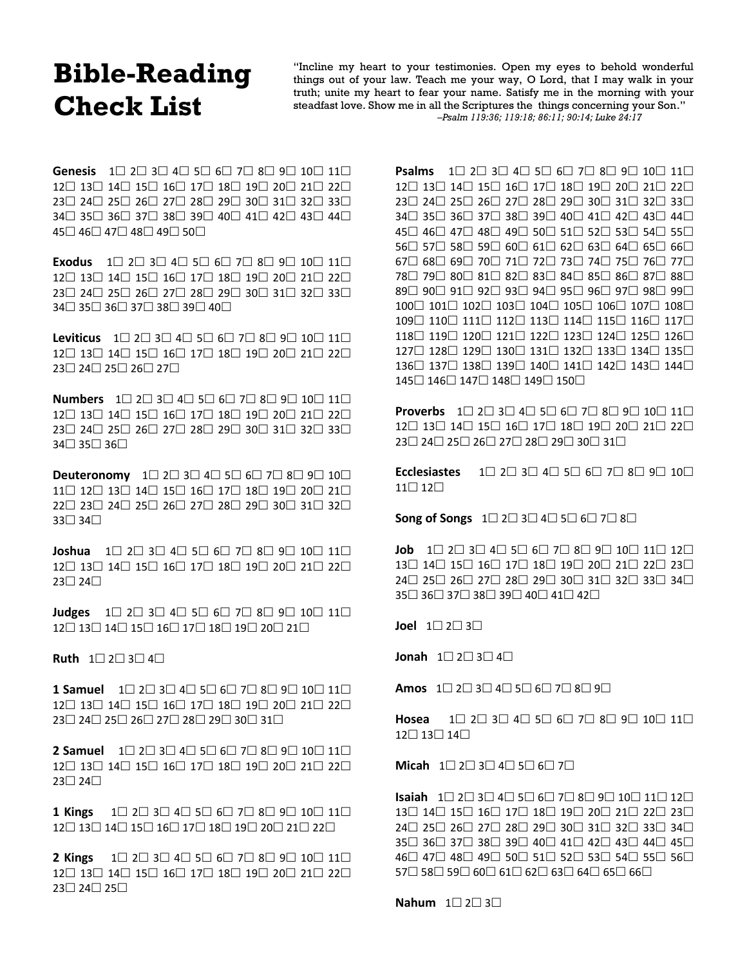## **Bible-Reading Bible-Reading Check List**

"Incline my heart to your testimonies. Open my eyes to behold wonderful things out of your law. Teach me your way, O Lord, that I may walk in your truth; unite my heart to fear your name. Satisfy me in the morning with your steadfast love. Show me in all the Scriptures the things concerning your Son." *–Psalm 119:36; 119:18; 86:11; 90:14; Luke 24:17*

**Genesis**  $1 \square 2 \square 3 \square 4 \square 5 \square 6 \square 7 \square 8 \square 9 \square 10 \square 11 \square$  $12 \square$   $13 \square$   $14 \square$   $15 \square$   $16 \square$   $17 \square$   $18 \square$   $19 \square$   $20 \square$   $21 \square$   $22 \square$ 23□ 24□ 25□ 26□ 27□ 28□ 29□ 30□ 31□ 32□ 33□  $34 \square 35 \square 36 \square 37 \square 38 \square 39 \square 40 \square 41 \square 42 \square 43 \square 44 \square$  $45\Box 46\Box 47\Box 48\Box 49\Box 50\Box$ 

**Exodus**  $1 \square 2 \square 3 \square 4 \square 5 \square 6 \square 7 \square 8 \square 9 \square 10 \square 11 \square$  $12 \square$   $13 \square$   $14 \square$   $15 \square$   $16 \square$   $17 \square$   $18 \square$   $19 \square$   $20 \square$   $21 \square$   $22 \square$ 23□ 24□ 25□ 26□ 27□ 28□ 29□ 30□ 31□ 32□ 33□  $34\Box 35\Box 36\Box 37\Box 38\Box 39\Box 40\Box$ 

**Leviticus**  $1 \square 2 \square 3 \square 4 \square 5 \square 6 \square 7 \square 8 \square 9 \square 10 \square 11 \square$  $12 \square$  13 14 15 16 17 18 19 19 20 21 22  $23 \square 24 \square 25 \square 26 \square 27 \square$ 

**Numbers**  $1 \square 2 \square 3 \square 4 \square 5 \square 6 \square 7 \square 8 \square 9 \square 10 \square 11 \square$  $12 \square$   $13 \square$   $14 \square$   $15 \square$   $16 \square$   $17 \square$   $18 \square$   $19 \square$   $20 \square$   $21 \square$   $22 \square$ 23□ 24□ 25□ 26□ 27□ 28□ 29□ 30□ 31□ 32□ 33□  $34 \square 35 \square 36 \square$ 

**Deuteronomy**  $1 \square 2 \square 3 \square 4 \square 5 \square 6 \square 7 \square 8 \square 9 \square 10 \square$  $11 \square$   $12 \square$   $13 \square$   $14 \square$   $15 \square$   $16 \square$   $17 \square$   $18 \square$   $19 \square$   $20 \square$   $21 \square$ 22□ 23□ 24□ 25□ 26□ 27□ 28□ 29□ 30□ 31□ 32□  $33 \square 34 \square$ 

**Joshua**  $1 \square 2 \square 3 \square 4 \square 5 \square 6 \square 7 \square 8 \square 9 \square 10 \square 11 \square$  $12 \square$   $13 \square$   $14 \square$   $15 \square$   $16 \square$   $17 \square$   $18 \square$   $19 \square$   $20 \square$   $21 \square$   $22 \square$  $23 \square 24 \square$ 

**Judges**  $1 \square 2 \square 3 \square 4 \square 5 \square 6 \square 7 \square 8 \square 9 \square 10 \square 11 \square$  $12 \square$   $13 \square$   $14 \square$   $15 \square$   $16 \square$   $17 \square$   $18 \square$   $19 \square$   $20 \square$   $21 \square$ 

**Ruth**  $1 \square 2 \square 3 \square 4 \square$ 

**1 Samuel** 1□ 2□ 3□ 4□ 5□ 6□ 7□ 8□ 9□ 10□ 11□  $12 \square$   $13 \square$   $14 \square$   $15 \square$   $16 \square$   $17 \square$   $18 \square$   $19 \square$   $20 \square$   $21 \square$   $22 \square$  $23 \square 24 \square 25 \square 26 \square 27 \square 28 \square 29 \square 30 \square 31 \square$ 

**2 Samuel**  $1 \square 2 \square 3 \square 4 \square 5 \square 6 \square 7 \square 8 \square 9 \square 10 \square 11 \square$  $12 \square$   $13 \square$   $14 \square$   $15 \square$   $16 \square$   $17 \square$   $18 \square$   $19 \square$   $20 \square$   $21 \square$   $22 \square$  $23 \square 24 \square$ 

1 Kings  $1 \square 2 \square 3 \square 4 \square 5 \square 6 \square 7 \square 8 \square 9 \square 10 \square 11 \square$  $12 \square$   $13 \square$   $14 \square$   $15 \square$   $16 \square$   $17 \square$   $18 \square$   $19 \square$   $20 \square$   $21 \square$   $22 \square$ 

**2 Kings** 1□ 2□ 3□ 4□ 5□ 6□ 7□ 8□ 9□ 10□ 11□  $12 \square$  13 14 15 16 17 18 19 19 20 21 22  $23 \square 24 \square 25 \square$ 

**Psalms**  $1 \square 2 \square 3 \square 4 \square 5 \square 6 \square 7 \square 8 \square 9 \square 10 \square 11 \square$  $12 \square$   $13 \square$   $14 \square$   $15 \square$   $16 \square$   $17 \square$   $18 \square$   $19 \square$   $20 \square$   $21 \square$   $22 \square$ 23□ 24□ 25□ 26□ 27□ 28□ 29□ 30□ 31□ 32□ 33□  $34\Box$   $35\Box$   $36\Box$   $37\Box$   $38\Box$   $39\Box$   $40\Box$   $41\Box$   $42\Box$   $43\Box$   $44\Box$ 45□ 46□ 47□ 48□ 49□ 50□ 51□ 52□ 53□ 54□ 55□  $56\Box$   $57\Box$   $58\Box$   $59\Box$   $60\Box$   $61\Box$   $62\Box$   $63\Box$   $64\Box$   $65\Box$   $66\Box$  $67 \square$   $68 \square$   $69 \square$   $70 \square$   $71 \square$   $72 \square$   $73 \square$   $74 \square$   $75 \square$   $76 \square$   $77 \square$  $78\Box$  79 $\Box$   $80\Box$   $81\Box$   $82\Box$   $83\Box$   $84\Box$   $85\Box$   $86\Box$   $87\Box$   $88\Box$ 89□ 90□ 91□ 92□ 93□ 94□ 95□ 96□ 97□ 98□ 99□  $100 \square$  101 $\square$  102 $\square$  103 $\square$  104 $\square$  105 $\square$  106 $\square$  107 $\square$  108 $\square$ 109□ 110□ 111□ 112□ 113□ 114□ 115□ 116□ 117□ 118 119 120 121 122 123 124 125 126 127□ 128□ 129□ 130□ 131□ 132□ 133□ 134□ 135□ 136□ 137□ 138□ 139□ 140□ 141□ 142□ 143□ 144□ 145□ 146□ 147□ 148□ 149□ 150□

**Proverbs**  $1 \square 2 \square 3 \square 4 \square 5 \square 6 \square 7 \square 8 \square 9 \square 10 \square 11 \square$  $12 \square$   $13 \square$   $14 \square$   $15 \square$   $16 \square$   $17 \square$   $18 \square$   $19 \square$   $20 \square$   $21 \square$   $22 \square$  $23 \square 24 \square 25 \square 26 \square 27 \square 28 \square 29 \square 30 \square 31 \square$ 

**Ecclesiastes**  $1 \square 2 \square 3 \square 4 \square 5 \square 6 \square 7 \square 8 \square 9 \square 10 \square$  $11 \square 12 \square$ 

**Song of Songs**  $1 \square 2 \square 3 \square 4 \square 5 \square 6 \square 7 \square 8 \square$ 

**Job**  $1 \square 2 \square 3 \square 4 \square 5 \square 6 \square 7 \square 8 \square 9 \square 10 \square 11 \square 12 \square$  $13\Box$   $14\Box$   $15\Box$   $16\Box$   $17\Box$   $18\Box$   $19\Box$   $20\Box$   $21\Box$   $22\Box$   $23\Box$  $24 \square 25 \square 26 \square 27 \square 28 \square 29 \square 30 \square 31 \square 32 \square 33 \square 34 \square$  $35\Box$   $36\Box$   $37\Box$   $38\Box$   $39\Box$   $40\Box$   $41\Box$   $42\Box$ 

**Joel**  $1 \square 2 \square 3 \square$ 

**Jonah**  $1 \square 2 \square 3 \square 4 \square$ 

**Amos**  $1 \square 2 \square 3 \square 4 \square 5 \square 6 \square 7 \square 8 \square 9 \square$ 

Hosea 1□ 2□ 3□ 4□ 5□ 6□ 7□ 8□ 9□ 10□ 11□  $12 \square 13 \square 14 \square$ 

**Micah**  $1 \square 2 \square 3 \square 4 \square 5 \square 6 \square 7 \square$ 

**Isaiah**  $1 \square 2 \square 3 \square 4 \square 5 \square 6 \square 7 \square 8 \square 9 \square 10 \square 11 \square 12 \square$  $13\Box$   $14\Box$   $15\Box$   $16\Box$   $17\Box$   $18\Box$   $19\Box$   $20\Box$   $21\Box$   $22\Box$   $23\Box$  $24 \square$  25 $\square$  26 $\square$  27 $\square$  28 $\square$  29 $\square$  30 $\square$  31 $\square$  32 $\square$  33 $\square$  34 $\square$  $35\Box$   $36\Box$   $37\Box$   $38\Box$   $39\Box$   $40\Box$   $41\Box$   $42\Box$   $43\Box$   $44\Box$   $45\Box$  $46\Box$   $47\Box$   $48\Box$   $49\Box$   $50\Box$   $51\Box$   $52\Box$   $53\Box$   $54\Box$   $55\Box$   $56\Box$  $57\Box$   $58\Box$   $59\Box$   $60\Box$   $61\Box$   $62\Box$   $63\Box$   $64\Box$   $65\Box$   $66\Box$ 

**Nahum**  $1 \square 2 \square 3 \square$